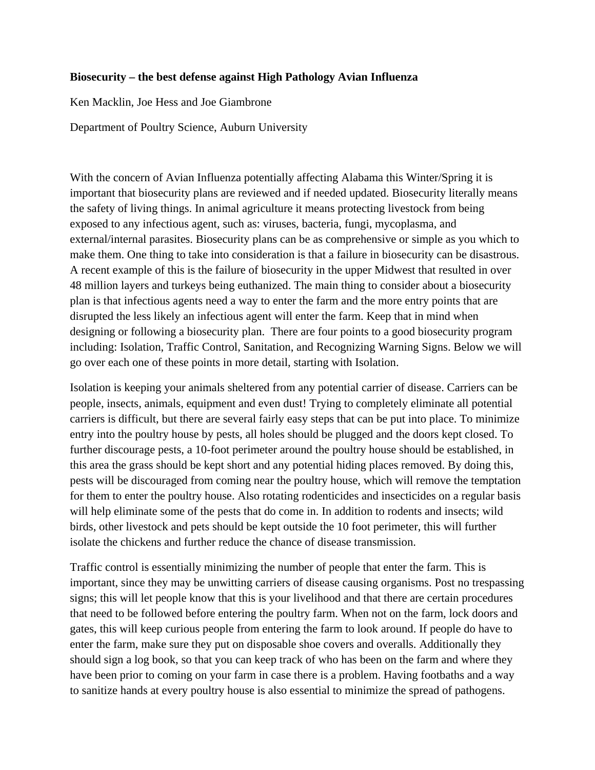## **Biosecurity – the best defense against High Pathology Avian Influenza**

Ken Macklin, Joe Hess and Joe Giambrone

Department of Poultry Science, Auburn University

With the concern of Avian Influenza potentially affecting Alabama this Winter/Spring it is important that biosecurity plans are reviewed and if needed updated. Biosecurity literally means the safety of living things. In animal agriculture it means protecting livestock from being exposed to any infectious agent, such as: viruses, bacteria, fungi, mycoplasma, and external/internal parasites. Biosecurity plans can be as comprehensive or simple as you which to make them. One thing to take into consideration is that a failure in biosecurity can be disastrous. A recent example of this is the failure of biosecurity in the upper Midwest that resulted in over 48 million layers and turkeys being euthanized. The main thing to consider about a biosecurity plan is that infectious agents need a way to enter the farm and the more entry points that are disrupted the less likely an infectious agent will enter the farm. Keep that in mind when designing or following a biosecurity plan. There are four points to a good biosecurity program including: Isolation, Traffic Control, Sanitation, and Recognizing Warning Signs. Below we will go over each one of these points in more detail, starting with Isolation.

Isolation is keeping your animals sheltered from any potential carrier of disease. Carriers can be people, insects, animals, equipment and even dust! Trying to completely eliminate all potential carriers is difficult, but there are several fairly easy steps that can be put into place. To minimize entry into the poultry house by pests, all holes should be plugged and the doors kept closed. To further discourage pests, a 10-foot perimeter around the poultry house should be established, in this area the grass should be kept short and any potential hiding places removed. By doing this, pests will be discouraged from coming near the poultry house, which will remove the temptation for them to enter the poultry house. Also rotating rodenticides and insecticides on a regular basis will help eliminate some of the pests that do come in. In addition to rodents and insects; wild birds, other livestock and pets should be kept outside the 10 foot perimeter, this will further isolate the chickens and further reduce the chance of disease transmission.

Traffic control is essentially minimizing the number of people that enter the farm. This is important, since they may be unwitting carriers of disease causing organisms. Post no trespassing signs; this will let people know that this is your livelihood and that there are certain procedures that need to be followed before entering the poultry farm. When not on the farm, lock doors and gates, this will keep curious people from entering the farm to look around. If people do have to enter the farm, make sure they put on disposable shoe covers and overalls. Additionally they should sign a log book, so that you can keep track of who has been on the farm and where they have been prior to coming on your farm in case there is a problem. Having footbaths and a way to sanitize hands at every poultry house is also essential to minimize the spread of pathogens.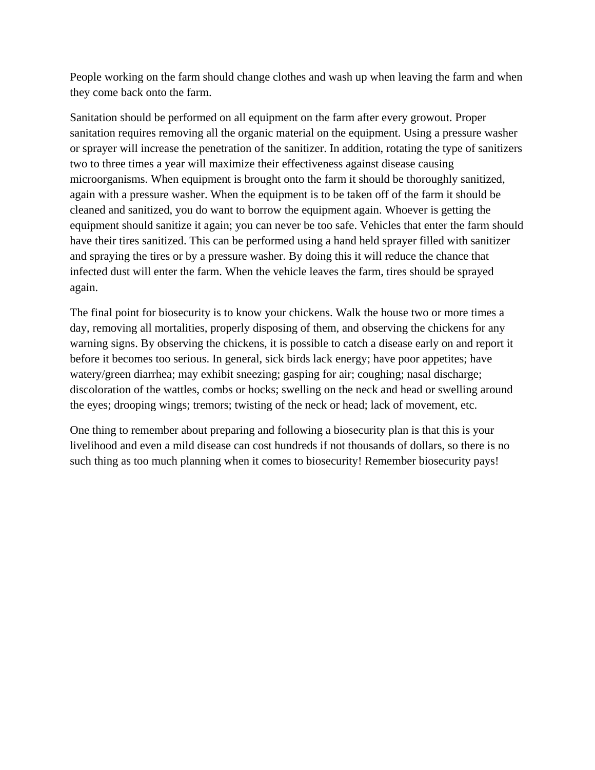People working on the farm should change clothes and wash up when leaving the farm and when they come back onto the farm.

Sanitation should be performed on all equipment on the farm after every growout. Proper sanitation requires removing all the organic material on the equipment. Using a pressure washer or sprayer will increase the penetration of the sanitizer. In addition, rotating the type of sanitizers two to three times a year will maximize their effectiveness against disease causing microorganisms. When equipment is brought onto the farm it should be thoroughly sanitized, again with a pressure washer. When the equipment is to be taken off of the farm it should be cleaned and sanitized, you do want to borrow the equipment again. Whoever is getting the equipment should sanitize it again; you can never be too safe. Vehicles that enter the farm should have their tires sanitized. This can be performed using a hand held sprayer filled with sanitizer and spraying the tires or by a pressure washer. By doing this it will reduce the chance that infected dust will enter the farm. When the vehicle leaves the farm, tires should be sprayed again.

The final point for biosecurity is to know your chickens. Walk the house two or more times a day, removing all mortalities, properly disposing of them, and observing the chickens for any warning signs. By observing the chickens, it is possible to catch a disease early on and report it before it becomes too serious. In general, sick birds lack energy; have poor appetites; have watery/green diarrhea; may exhibit sneezing; gasping for air; coughing; nasal discharge; discoloration of the wattles, combs or hocks; swelling on the neck and head or swelling around the eyes; drooping wings; tremors; twisting of the neck or head; lack of movement, etc.

One thing to remember about preparing and following a biosecurity plan is that this is your livelihood and even a mild disease can cost hundreds if not thousands of dollars, so there is no such thing as too much planning when it comes to biosecurity! Remember biosecurity pays!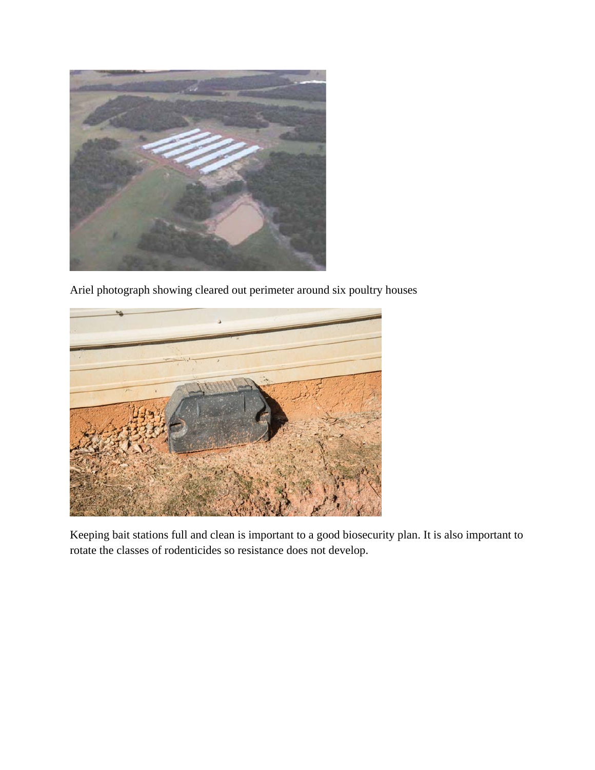

Ariel photograph showing cleared out perimeter around six poultry houses



Keeping bait stations full and clean is important to a good biosecurity plan. It is also important to rotate the classes of rodenticides so resistance does not develop.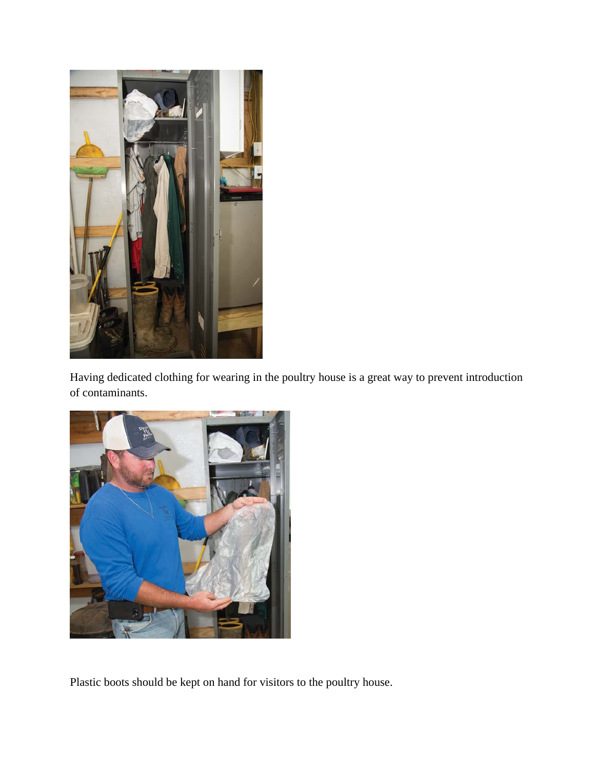

Having dedicated clothing for wearing in the poultry house is a great way to prevent introduction of contaminants.



Plastic boots should be kept on hand for visitors to the poultry house.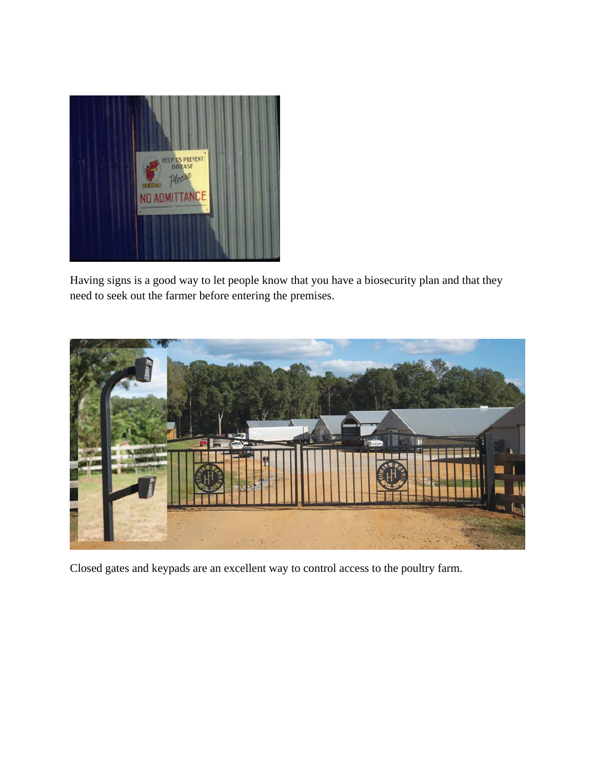

Having signs is a good way to let people know that you have a biosecurity plan and that they need to seek out the farmer before entering the premises.



Closed gates and keypads are an excellent way to control access to the poultry farm.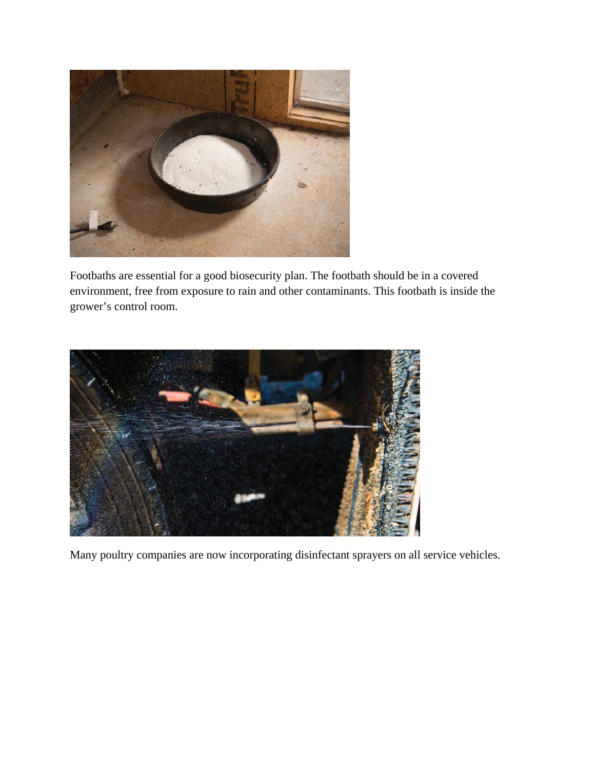

Footbaths are essential for a good biosecurity plan. The footbath should be in a covered environment, free from exposure to rain and other contaminants. This footbath is inside the grower's control room.



Many poultry companies are now incorporating disinfectant sprayers on all service vehicles.